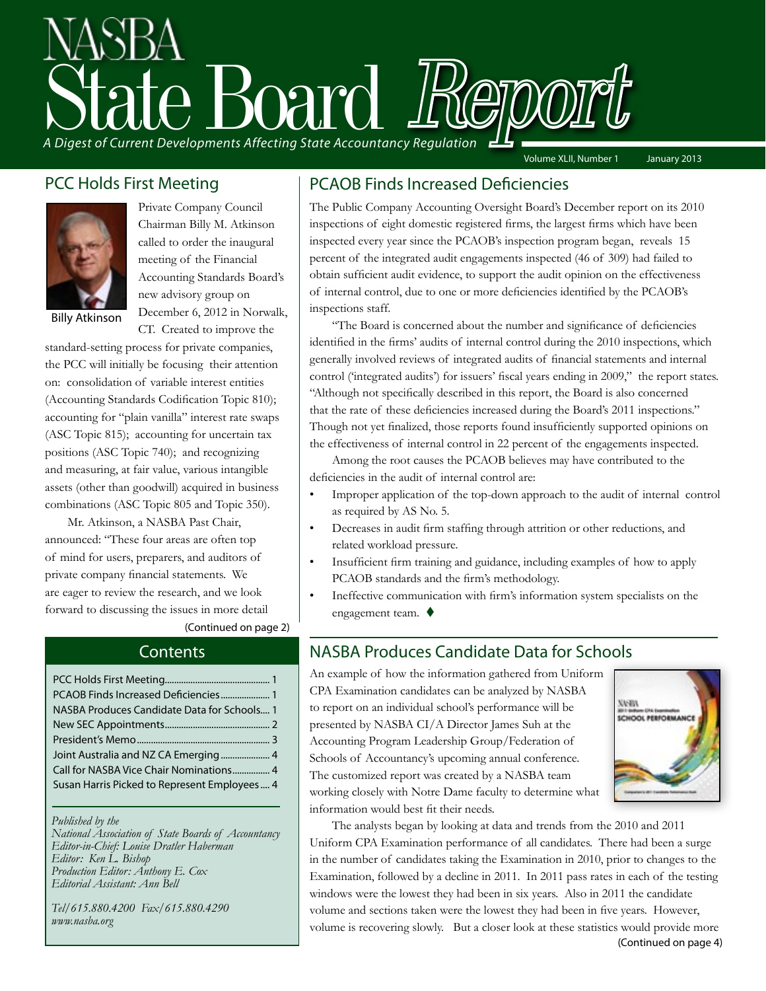# A Digest of Current Developments Affecting State Accountancy Regulation Volume XLII, Number 1 January 2013

#### PCC Holds First Meeting



Private Company Council Chairman Billy M. Atkinson called to order the inaugural meeting of the Financial Accounting Standards Board's new advisory group on December 6, 2012 in Norwalk, CT. Created to improve the

standard-setting process for private companies, the PCC will initially be focusing their attention on: consolidation of variable interest entities (Accounting Standards Codification Topic 810); accounting for "plain vanilla" interest rate swaps (ASC Topic 815); accounting for uncertain tax positions (ASC Topic 740); and recognizing and measuring, at fair value, various intangible assets (other than goodwill) acquired in business combinations (ASC Topic 805 and Topic 350).

Mr. Atkinson, a NASBA Past Chair, announced: "These four areas are often top of mind for users, preparers, and auditors of private company financial statements. We are eager to review the research, and we look forward to discussing the issues in more detail

(Continued on page 2)

#### **Contents**

| PCAOB Finds Increased Deficiencies 1         |
|----------------------------------------------|
| NASBA Produces Candidate Data for Schools 1  |
|                                              |
|                                              |
|                                              |
| Call for NASBA Vice Chair Nominations 4      |
| Susan Harris Picked to Represent Employees 4 |
|                                              |

*Published by the* 

*National Association of State Boards of Accountancy Editor-in-Chief: Louise Dratler Haberman Editor: Ken L. Bishop Production Editor: Anthony E. Cox Editorial Assistant: Ann Bell* 

*Tel/615.880.4200 Fax/615.880.4290 www.nasba.org*

#### PCAOB Finds Increased Deficiencies

The Public Company Accounting Oversight Board's December report on its 2010 inspections of eight domestic registered firms, the largest firms which have been inspected every year since the PCAOB's inspection program began, reveals 15 percent of the integrated audit engagements inspected (46 of 309) had failed to obtain sufficient audit evidence, to support the audit opinion on the effectiveness of internal control, due to one or more deficiencies identified by the PCAOB's inspections staff.

"The Board is concerned about the number and significance of deficiencies identified in the firms' audits of internal control during the 2010 inspections, which generally involved reviews of integrated audits of financial statements and internal control ('integrated audits') for issuers' fiscal years ending in 2009," the report states. "Although not specifically described in this report, the Board is also concerned that the rate of these deficiencies increased during the Board's 2011 inspections." Though not yet finalized, those reports found insufficiently supported opinions on the effectiveness of internal control in 22 percent of the engagements inspected.

Among the root causes the PCAOB believes may have contributed to the deficiencies in the audit of internal control are:

- Improper application of the top-down approach to the audit of internal control as required by AS No. 5.
- Decreases in audit firm staffing through attrition or other reductions, and related workload pressure.
- Insufficient firm training and guidance, including examples of how to apply PCAOB standards and the firm's methodology.
- Ineffective communication with firm's information system specialists on the engagement team.  $\blacklozenge$

#### NASBA Produces Candidate Data for Schools

An example of how the information gathered from Uniform CPA Examination candidates can be analyzed by NASBA to report on an individual school's performance will be presented by NASBA CI/A Director James Suh at the Accounting Program Leadership Group/Federation of Schools of Accountancy's upcoming annual conference. The customized report was created by a NASBA team working closely with Notre Dame faculty to determine what information would best fit their needs.



The analysts began by looking at data and trends from the 2010 and 2011 Uniform CPA Examination performance of all candidates. There had been a surge in the number of candidates taking the Examination in 2010, prior to changes to the Examination, followed by a decline in 2011. In 2011 pass rates in each of the testing windows were the lowest they had been in six years. Also in 2011 the candidate volume and sections taken were the lowest they had been in five years. However, volume is recovering slowly. But a closer look at these statistics would provide more (Continued on page 4)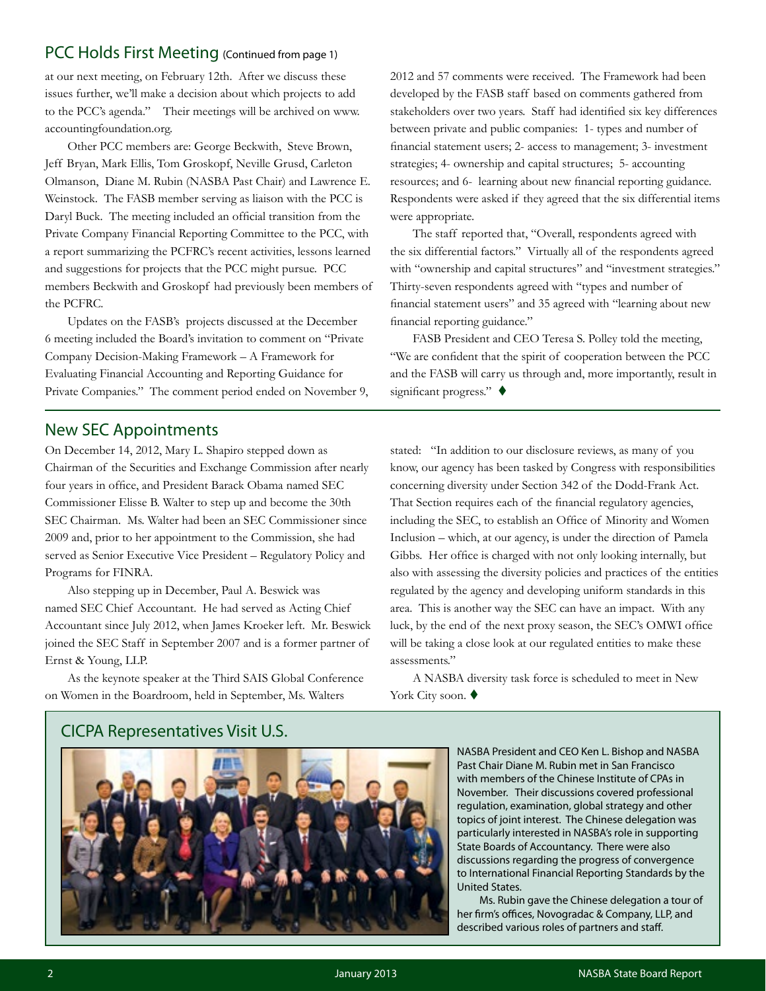#### <span id="page-1-0"></span>PCC Holds First Meeting (Continued from page 1)

at our next meeting, on February 12th. After we discuss these issues further, we'll make a decision about which projects to add to the PCC's agenda." Their meetings will be archived on www. accountingfoundation.org.

Other PCC members are: George Beckwith, Steve Brown, Jeff Bryan, Mark Ellis, Tom Groskopf, Neville Grusd, Carleton Olmanson, Diane M. Rubin (NASBA Past Chair) and Lawrence E. Weinstock. The FASB member serving as liaison with the PCC is Daryl Buck. The meeting included an official transition from the Private Company Financial Reporting Committee to the PCC, with a report summarizing the PCFRC's recent activities, lessons learned and suggestions for projects that the PCC might pursue. PCC members Beckwith and Groskopf had previously been members of the PCFRC.

Updates on the FASB's projects discussed at the December 6 meeting included the Board's invitation to comment on "Private Company Decision-Making Framework – A Framework for Evaluating Financial Accounting and Reporting Guidance for Private Companies." The comment period ended on November 9, 2012 and 57 comments were received. The Framework had been developed by the FASB staff based on comments gathered from stakeholders over two years. Staff had identified six key differences between private and public companies: 1- types and number of financial statement users; 2- access to management; 3- investment strategies; 4- ownership and capital structures; 5- accounting resources; and 6- learning about new financial reporting guidance. Respondents were asked if they agreed that the six differential items were appropriate.

The staff reported that, "Overall, respondents agreed with the six differential factors." Virtually all of the respondents agreed with "ownership and capital structures" and "investment strategies." Thirty-seven respondents agreed with "types and number of financial statement users" and 35 agreed with "learning about new financial reporting guidance."

FASB President and CEO Teresa S. Polley told the meeting, "We are confident that the spirit of cooperation between the PCC and the FASB will carry us through and, more importantly, result in significant progress."  $\blacklozenge$ 

#### New SEC Appointments

On December 14, 2012, Mary L. Shapiro stepped down as Chairman of the Securities and Exchange Commission after nearly four years in office, and President Barack Obama named SEC Commissioner Elisse B. Walter to step up and become the 30th SEC Chairman. Ms. Walter had been an SEC Commissioner since 2009 and, prior to her appointment to the Commission, she had served as Senior Executive Vice President – Regulatory Policy and Programs for FINRA.

Also stepping up in December, Paul A. Beswick was named SEC Chief Accountant. He had served as Acting Chief Accountant since July 2012, when James Kroeker left. Mr. Beswick joined the SEC Staff in September 2007 and is a former partner of Ernst & Young, LLP.

As the keynote speaker at the Third SAIS Global Conference on Women in the Boardroom, held in September, Ms. Walters

stated: "In addition to our disclosure reviews, as many of you know, our agency has been tasked by Congress with responsibilities concerning diversity under Section 342 of the Dodd-Frank Act. That Section requires each of the financial regulatory agencies, including the SEC, to establish an Office of Minority and Women Inclusion – which, at our agency, is under the direction of Pamela Gibbs. Her office is charged with not only looking internally, but also with assessing the diversity policies and practices of the entities regulated by the agency and developing uniform standards in this area. This is another way the SEC can have an impact. With any luck, by the end of the next proxy season, the SEC's OMWI office will be taking a close look at our regulated entities to make these assessments."

A NASBA diversity task force is scheduled to meet in New York City soon.  $\blacklozenge$ 



NASBA President and CEO Ken L. Bishop and NASBA Past Chair Diane M. Rubin met in San Francisco with members of the Chinese Institute of CPAs in November. Their discussions covered professional regulation, examination, global strategy and other topics of joint interest. The Chinese delegation was particularly interested in NASBA's role in supporting State Boards of Accountancy. There were also discussions regarding the progress of convergence to International Financial Reporting Standards by the United States.

Ms. Rubin gave the Chinese delegation a tour of her firm's offices, Novogradac & Company, LLP, and described various roles of partners and staff.

#### CICPA Representatives Visit U.S.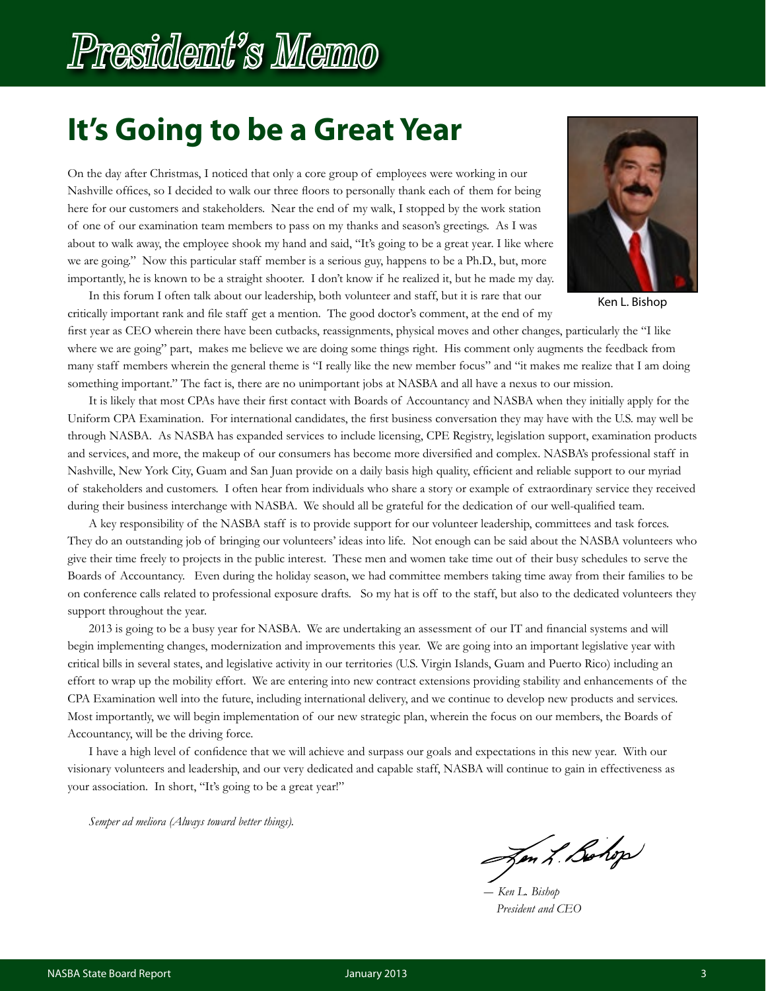# President's Memo

## **It's Going to be a Great Year**

On the day after Christmas, I noticed that only a core group of employees were working in our Nashville offices, so I decided to walk our three floors to personally thank each of them for being here for our customers and stakeholders. Near the end of my walk, I stopped by the work station of one of our examination team members to pass on my thanks and season's greetings. As I was about to walk away, the employee shook my hand and said, "It's going to be a great year. I like where we are going." Now this particular staff member is a serious guy, happens to be a Ph.D., but, more importantly, he is known to be a straight shooter. I don't know if he realized it, but he made my day.

In this forum I often talk about our leadership, both volunteer and staff, but it is rare that our critically important rank and file staff get a mention. The good doctor's comment, at the end of my



Ken L. Bishop

first year as CEO wherein there have been cutbacks, reassignments, physical moves and other changes, particularly the "I like where we are going" part, makes me believe we are doing some things right. His comment only augments the feedback from many staff members wherein the general theme is "I really like the new member focus" and "it makes me realize that I am doing something important." The fact is, there are no unimportant jobs at NASBA and all have a nexus to our mission.

It is likely that most CPAs have their first contact with Boards of Accountancy and NASBA when they initially apply for the Uniform CPA Examination. For international candidates, the first business conversation they may have with the U.S. may well be through NASBA. As NASBA has expanded services to include licensing, CPE Registry, legislation support, examination products and services, and more, the makeup of our consumers has become more diversified and complex. NASBA's professional staff in Nashville, New York City, Guam and San Juan provide on a daily basis high quality, efficient and reliable support to our myriad of stakeholders and customers. I often hear from individuals who share a story or example of extraordinary service they received during their business interchange with NASBA. We should all be grateful for the dedication of our well-qualified team.

A key responsibility of the NASBA staff is to provide support for our volunteer leadership, committees and task forces. They do an outstanding job of bringing our volunteers' ideas into life. Not enough can be said about the NASBA volunteers who give their time freely to projects in the public interest. These men and women take time out of their busy schedules to serve the Boards of Accountancy. Even during the holiday season, we had committee members taking time away from their families to be on conference calls related to professional exposure drafts. So my hat is off to the staff, but also to the dedicated volunteers they support throughout the year.

2013 is going to be a busy year for NASBA. We are undertaking an assessment of our IT and financial systems and will begin implementing changes, modernization and improvements this year. We are going into an important legislative year with critical bills in several states, and legislative activity in our territories (U.S. Virgin Islands, Guam and Puerto Rico) including an effort to wrap up the mobility effort. We are entering into new contract extensions providing stability and enhancements of the CPA Examination well into the future, including international delivery, and we continue to develop new products and services. Most importantly, we will begin implementation of our new strategic plan, wherein the focus on our members, the Boards of Accountancy, will be the driving force.

I have a high level of confidence that we will achieve and surpass our goals and expectations in this new year. With our visionary volunteers and leadership, and our very dedicated and capable staff, NASBA will continue to gain in effectiveness as your association. In short, "It's going to be a great year!"

*Semper ad meliora (Always toward better things).*

Jen L. Bolop

 *― Ken L. Bishop President and CEO*